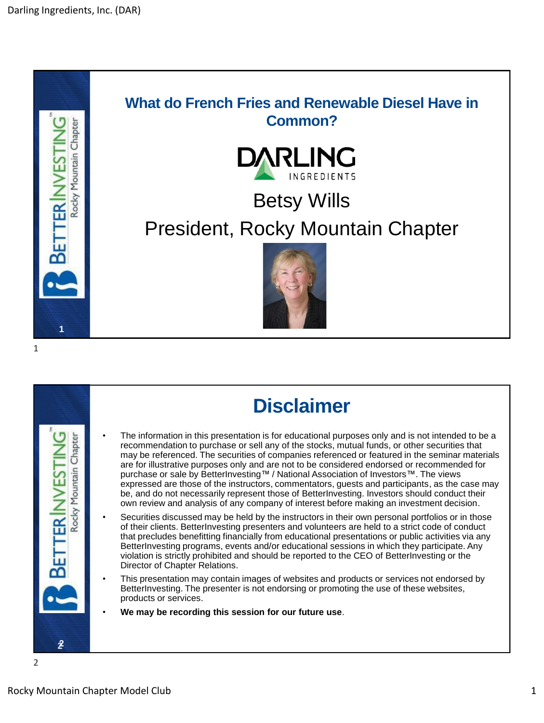





## **Disclaimer**

- The information in this presentation is for educational purposes only and is not intended to be a recommendation to purchase or sell any of the stocks, mutual funds, or other securities that may be referenced. The securities of companies referenced or featured in the seminar materials are for illustrative purposes only and are not to be considered endorsed or recommended for purchase or sale by BetterInvesting™ / National Association of Investors™. The views expressed are those of the instructors, commentators, guests and participants, as the case may be, and do not necessarily represent those of BetterInvesting. Investors should conduct their own review and analysis of any company of interest before making an investment decision.
- Securities discussed may be held by the instructors in their own personal portfolios or in those of their clients. BetterInvesting presenters and volunteers are held to a strict code of conduct that precludes benefitting financially from educational presentations or public activities via any BetterInvesting programs, events and/or educational sessions in which they participate. Any violation is strictly prohibited and should be reported to the CEO of BetterInvesting or the Director of Chapter Relations.
- This presentation may contain images of websites and products or services not endorsed by BetterInvesting. The presenter is not endorsing or promoting the use of these websites, products or services.
- **We may be recording this session for our future use**.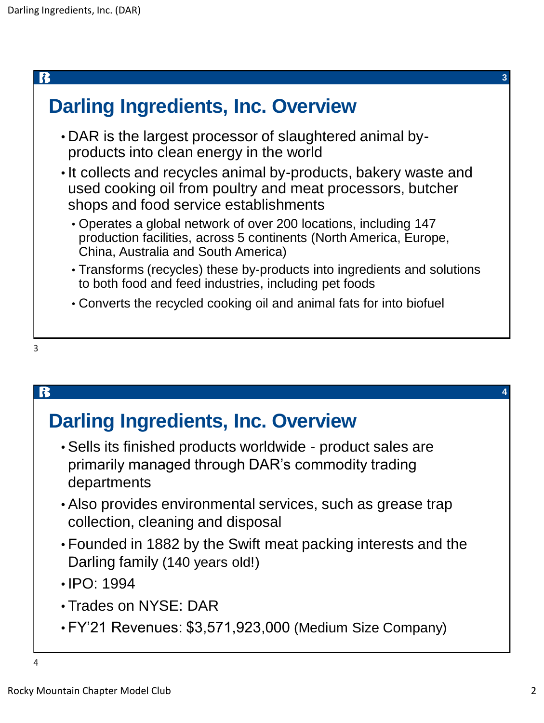| <b>Darling Ingredients, Inc. Overview</b>                                                                                                                                     |  |
|-------------------------------------------------------------------------------------------------------------------------------------------------------------------------------|--|
| . DAR is the largest processor of slaughtered animal by-<br>products into clean energy in the world                                                                           |  |
| . It collects and recycles animal by-products, bakery waste and<br>used cooking oil from poultry and meat processors, butcher<br>shops and food service establishments        |  |
| • Operates a global network of over 200 locations, including 147<br>production facilities, across 5 continents (North America, Europe,<br>China, Australia and South America) |  |
| • Transforms (recycles) these by-products into ingredients and solutions<br>to both food and feed industries, including pet foods                                             |  |
| • Converts the recycled cooking oil and animal fats for into biofuel                                                                                                          |  |
| 3                                                                                                                                                                             |  |

## B **4 Darling Ingredients, Inc. Overview** • Sells its finished products worldwide - product sales are primarily managed through DAR's commodity trading departments • Also provides environmental services, such as grease trap collection, cleaning and disposal • Founded in 1882 by the Swift meat packing interests and the Darling family (140 years old!) • IPO: 1994 • Trades on NYSE: DAR • FY'21 Revenues: \$3,571,923,000 (Medium Size Company) 4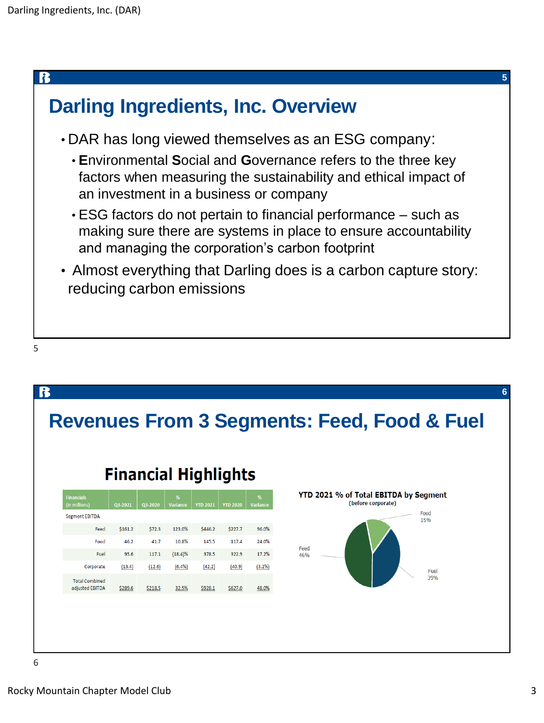

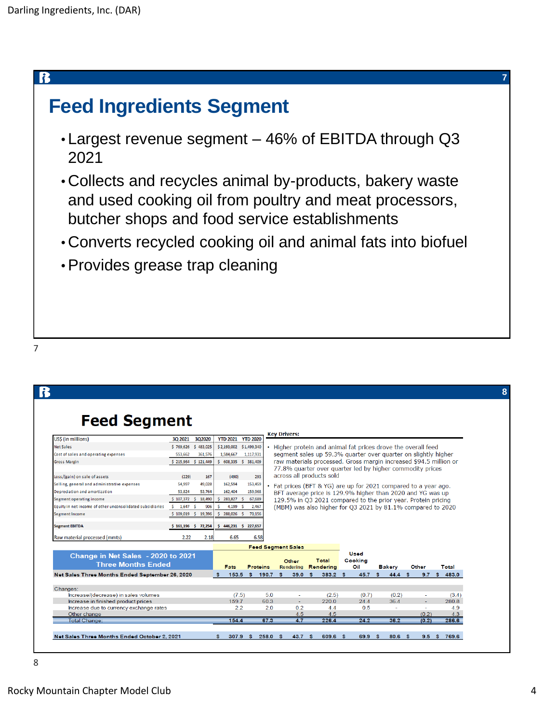#### ß

## **Feed Ingredients Segment**

- Largest revenue segment 46% of EBITDA through Q3 2021
- Collects and recycles animal by-products, bakery waste and used cooking oil from poultry and meat processors, butcher shops and food service establishments
- Converts recycled cooking oil and animal fats into biofuel
- •Provides grease trap cleaning

#### 7

| <b>Feed Segment</b><br>US\$ (in millions)<br>30 2021<br><b>Net Sales</b><br>Cost of sales and operating expenses |         | 3Q2020                       |     |                            |                    |             |                                                                                                                             |          |                        |  |               |     |                |       |                  |       |                |  |
|------------------------------------------------------------------------------------------------------------------|---------|------------------------------|-----|----------------------------|--------------------|-------------|-----------------------------------------------------------------------------------------------------------------------------|----------|------------------------|--|---------------|-----|----------------|-------|------------------|-------|----------------|--|
|                                                                                                                  |         |                              |     |                            |                    |             |                                                                                                                             |          |                        |  |               |     |                |       |                  |       |                |  |
|                                                                                                                  |         |                              |     | <b>YTD 2021</b>            | <b>YTD 2020</b>    |             | <b>Key Drivers:</b>                                                                                                         |          |                        |  |               |     |                |       |                  |       |                |  |
|                                                                                                                  |         | \$769,626 \$483,025          |     | \$2,193,002 \$1,499,340    |                    |             | Higher protein and animal fat prices drove the overall feed                                                                 |          |                        |  |               |     |                |       |                  |       |                |  |
|                                                                                                                  | 553.662 | 361,576                      |     | 1,584,667                  | 1,117,931          |             | segment sales up 59.3% quarter over quarter on slightly higher                                                              |          |                        |  |               |     |                |       |                  |       |                |  |
| <b>Gross Margin</b>                                                                                              |         | \$215,964 \$121,449          |     | \$ 608,335 \$ 381,409      |                    |             | raw materials processed. Gross margin increased \$94.5 million or                                                           |          |                        |  |               |     |                |       |                  |       |                |  |
|                                                                                                                  |         |                              |     |                            |                    |             | 77.8% quarter over quarter led by higher commodity prices                                                                   |          |                        |  |               |     |                |       |                  |       |                |  |
| Loss/(gain) on sale of assets                                                                                    | (229)   | 167                          |     | (490)                      | 293                |             | across all products sold                                                                                                    |          |                        |  |               |     |                |       |                  |       |                |  |
| Selling, general and administrative expenses                                                                     | 54.997  | 49,028                       |     | 162.594                    | 153,459            |             |                                                                                                                             |          |                        |  |               |     |                |       |                  |       |                |  |
| Depreciation and amortization                                                                                    | 53,824  | 53,764                       |     | 162,404                    | 159,968            |             | Fat prices (BFT & YG) are up for 2021 compared to a year ago.<br>BFT average price is 129.9% higher than 2020 and YG was up |          |                        |  |               |     |                |       |                  |       |                |  |
| Segment operating income<br>$$107.372$ \$                                                                        |         | 18,490                       | Š.  | 283.827 S                  | 67.689             |             | 129.5% in Q3 2021 compared to the prior year. Protein pricing                                                               |          |                        |  |               |     |                |       |                  |       |                |  |
| Equity in net income of other unconsolidated subsidiaries<br>$5 \quad 1,647$                                     |         | 906<br>- Š                   |     | 4,199 \$                   | 2,467              |             | (MBM) was also higher for Q3 2021 by 81.1% compared to 2020                                                                 |          |                        |  |               |     |                |       |                  |       |                |  |
| <b>Segment Income</b>                                                                                            |         | \$109,019 \$19,396           | s.  | 288,026 \$                 | 70.156             |             |                                                                                                                             |          |                        |  |               |     |                |       |                  |       |                |  |
| <b>Segment EBITDA</b><br>Raw material processed (mmts)                                                           | 2.22    | $$161,196$ $$72,254$<br>2.18 | s.  | 446,231 \$ 227,657<br>6.65 | 6.58               |             |                                                                                                                             |          |                        |  |               |     |                |       |                  |       |                |  |
|                                                                                                                  |         |                              |     |                            |                    |             | <b>Feed Segment Sales</b>                                                                                                   |          |                        |  |               |     |                |       |                  |       |                |  |
| Change in Net Sales - 2020 to 2021<br><b>Three Months Ended</b>                                                  |         | Fats<br>Proteins             |     |                            | Other<br>Rendering |             | Total<br>Rendering                                                                                                          |          | Used<br>Cooking<br>Oil |  | <b>Bakery</b> |     |                | Other |                  | Total |                |  |
| Net Sales Three Months Ended September 26, 2020                                                                  |         |                              | s.  | 153.5                      | -\$                | 190.7       | 39.0<br>-\$                                                                                                                 | s.       | 383.2 S                |  | 45.7          | s.  | 44.4           | \$    | 9.7 <sup>5</sup> |       | 483.0          |  |
|                                                                                                                  |         |                              |     |                            |                    |             |                                                                                                                             |          |                        |  |               |     |                |       |                  |       |                |  |
| Changes:                                                                                                         |         |                              |     |                            |                    |             |                                                                                                                             |          |                        |  |               |     |                |       |                  |       |                |  |
| Increase/(decrease) in sales volumes<br>Increase in finished product prices                                      |         |                              |     | (7.5)<br>159.7             |                    | 5.0<br>60.3 | ٠<br>$\overline{\phantom{a}}$                                                                                               |          | (2.5)<br>220.0         |  | (0.7)<br>24.4 |     | (0.2)<br>36.4  |       | ٠                |       | (3.4)<br>280.8 |  |
| Increase due to currency exchange rates                                                                          |         |                              |     | 2.2                        |                    | 2.0         | 0.2                                                                                                                         |          | 4.4                    |  | 0.5           |     | $\overline{a}$ |       | $\sim$           |       | 4.9            |  |
| Other change                                                                                                     |         |                              |     |                            |                    |             | 4.5                                                                                                                         |          | 4.5                    |  |               |     |                |       | (0.2)            |       | 4.3            |  |
| Total Change:                                                                                                    |         |                              |     | 154.4                      |                    | 67.3        | 4.7                                                                                                                         |          | 226.4                  |  | 24.2          |     | 36.2           |       | (0.2)            |       | 286.6          |  |
| Net Sales Three Months Ended October 2, 2021                                                                     |         |                              | -S. | 307.9                      | - S                | 258.0       | 43.7<br>- \$                                                                                                                | <b>S</b> | 609.6 \$               |  | 69.9          | - S | 80.6%          |       | 9.5              | - \$  | 769.6          |  |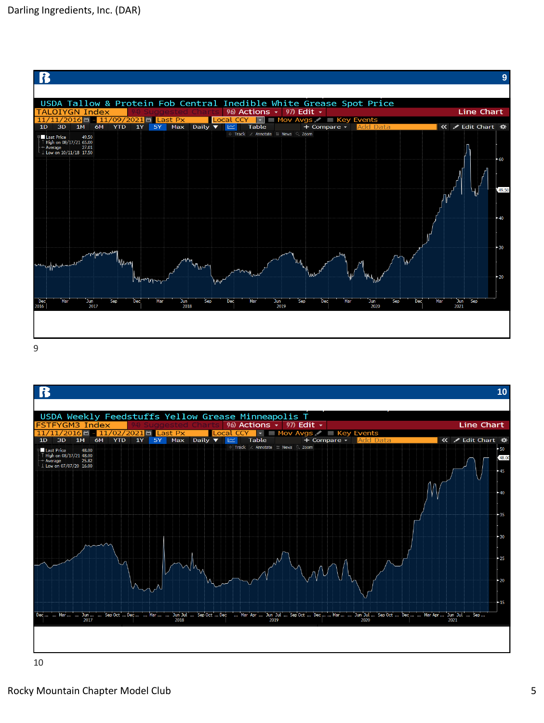



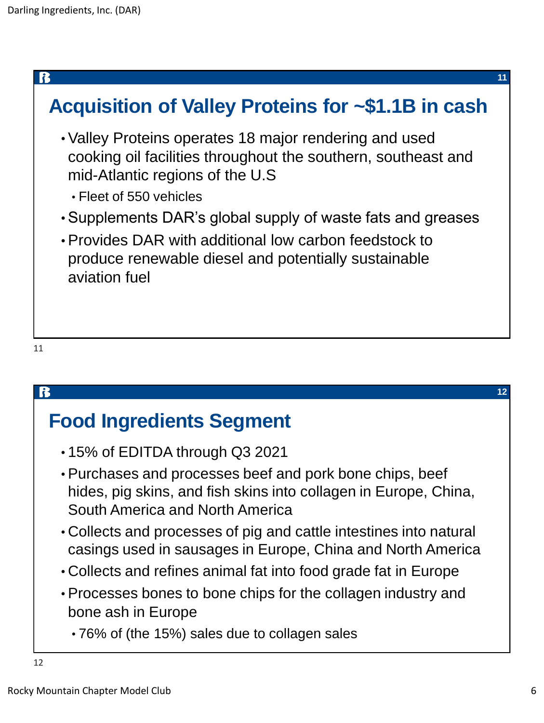

# **Food Ingredients Segment**

- 15% of EDITDA through Q3 2021
- Purchases and processes beef and pork bone chips, beef hides, pig skins, and fish skins into collagen in Europe, China, South America and North America
- Collects and processes of pig and cattle intestines into natural casings used in sausages in Europe, China and North America
- Collects and refines animal fat into food grade fat in Europe
- Processes bones to bone chips for the collagen industry and bone ash in Europe
	- 76% of (the 15%) sales due to collagen sales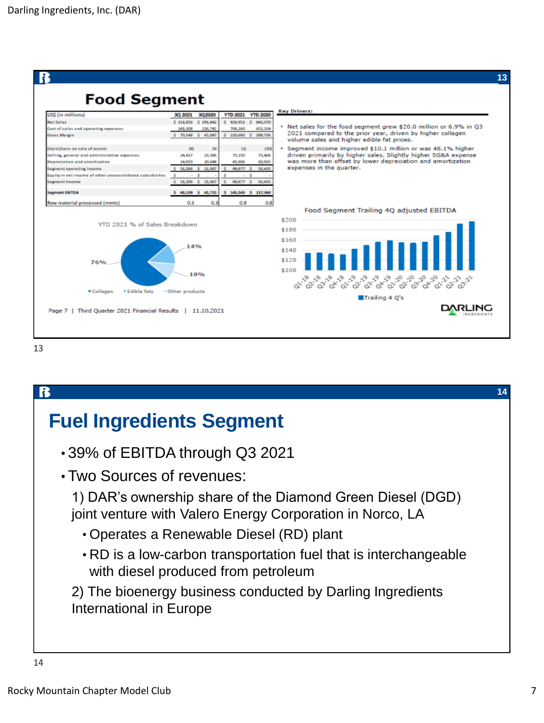

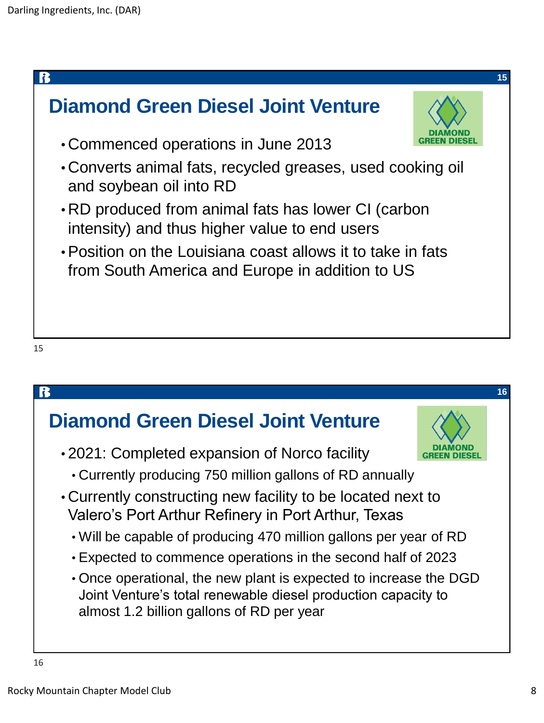

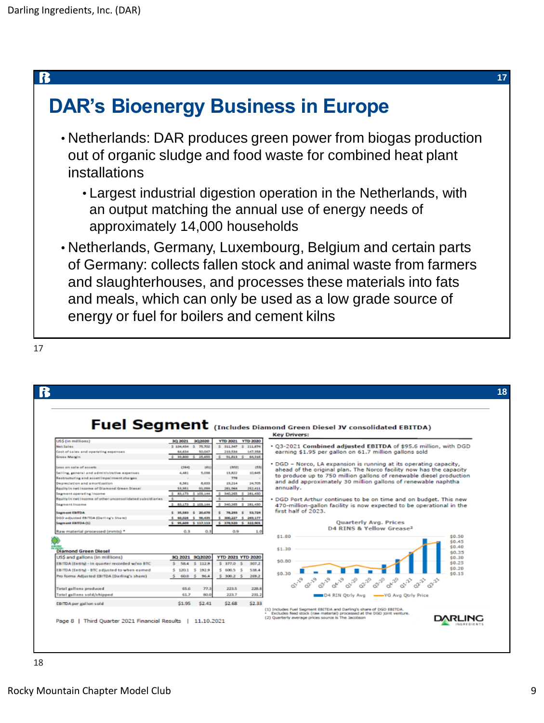## R **DAR's Bioenergy Business in Europe** • Netherlands: DAR produces green power from biogas production out of organic sludge and food waste for combined heat plant installations • Largest industrial digestion operation in the Netherlands, with an output matching the annual use of energy needs of approximately 14,000 households • Netherlands, Germany, Luxembourg, Belgium and certain parts of Germany: collects fallen stock and animal waste from farmers and slaughterhouses, and processes these materials into fats and meals, which can only be used as a low grade source of energy or fuel for boilers and cement kilns

R **18** Fuel Segment (Includes Diamond Green Diesel JV consolidated EBITDA) **Key Drivers:** YTD 2021 YTD 2020 3Q 2021 3Q 2020 . Q3-2021 Combined adjusted EBITDA of \$95.6 million, with DGD  $$311,34$  $$211,67$ st of sales and operating expenses 219,534 147,358 earning \$1.95 per gallon on 61.7 million gallons sold  $$-91,013$   $$-64,316$ oss Margin 25,655 • DGD – Norco, LA expansion is running at its operating capacity,<br>ahead of the original plan. The Norco facility now has the capacity<br>to produce up to 750 million gallons of renewable diesel production ss on sale of assets **CSEAL** age  $(302)$  $-100$ .<br>Illing, general and administrative expense:<br>istructuring and asset impairment charges 4,481 13,822 10,645 5,038 778 and add approximately 30 million gallons of renewable naphtha epreciation and amortization 6,361 8,633 19,214 24,705 uity in net income of Diamond Green Diesel 53,951 281,964 252,411 annually. 91,099 ment operating income<br>ilty in net income of other unconsolidat  $83,173 \pm 203,144$  $$30,265$ 281,430 . DGD Port Arthur continues to be on time and on budget. This new 470-million-gallon facility is now expected to be operational in the<br>first half of 2023.  $$340,265 \t$281,430$ ment Farroa  $$3,583$3$   $$20,678$  $$78,293$$   $$8,724$ .<br>GD adjusted EBITDA (Darling's Share)<br>Igment EBITDA (1) Quarterly Avg. Prices<br>D4 RINS & Yellow Grease<sup>2</sup> Raw material processed (mmts) \*  $0.3$  $0.3$  $0.9$  $$1.80$  $$0.50$  $$0.45$ <br> $$0.40$ <br> $$0.35$ <br> $$0.35$  $$1.30$ Diamond Green Diesel US\$ and gallons (in millions) 3Q 2021 3Q 2020 YTD 2021 YTD 2020 \$0.30  $$0.80$ EBITDA (Entity) - in quarter recorded w/no BTC  $$0.25$  $$112.9$ EBITDA (Entity) - BTC adjusted to when earned \$120.1 \$192.9  $$600.5$ s 538.4 \$0.30 Pro forma Adjusted EBITDA (Darling's share)  $60.0\quad$ \$ 96.4  $5\ 300.2$ 269.2 **Q1-20** Q2-20 03.20 **QA-20** 03-19 **Q1.71** Quin 65.6  $77.3$ 223.5 228.8 otal gallons produced Total gallons sold/shipped 61.7 80.0 223.7  $231.2$ D4 RIN Qtrly Avg - - YG Avg Qtrly Price EBITDA per gallon sold \$1.95 \$2.41 \$2.68 \$2.33 (1) Includes Fuel Segment EBITDA and Darling's share of DGD EBITDA.<br>• Excludes feed stock (raw material) processed at the DGD joint venture.<br>(2) Quarterly average prices source is The Jacobson **DARLING** Page 8 | Third Quarter 2021 Financial Results | 11.10.2021

18

17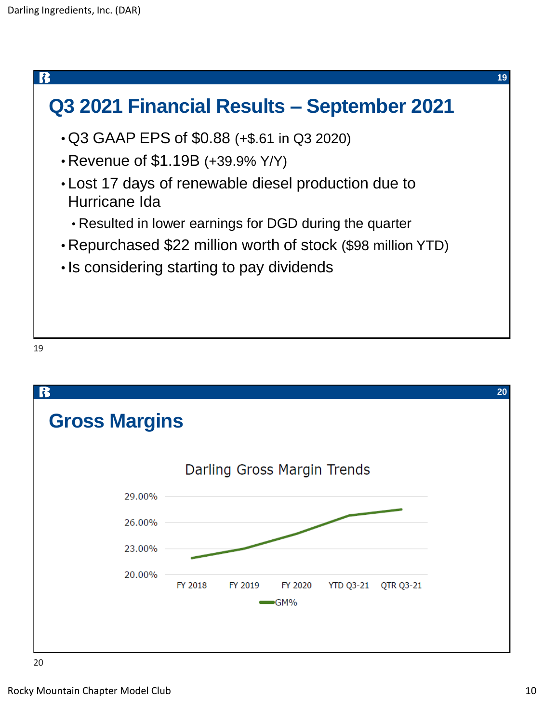

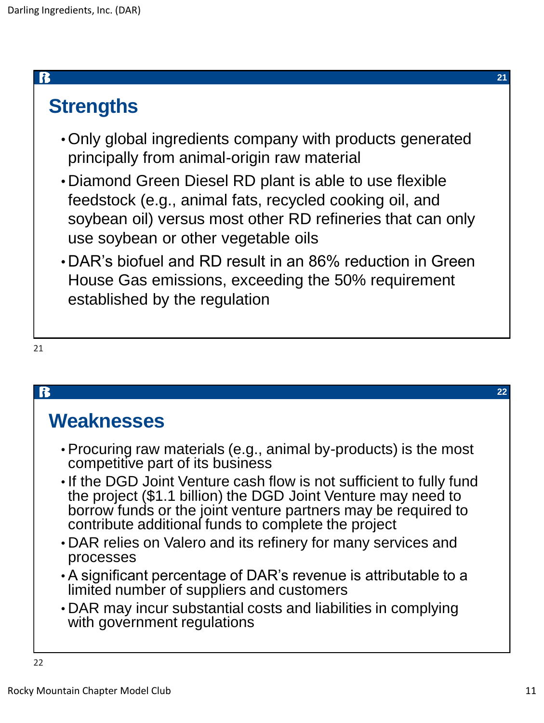#### R

# **Strengths**

- •Only global ingredients company with products generated principally from animal-origin raw material
- Diamond Green Diesel RD plant is able to use flexible feedstock (e.g., animal fats, recycled cooking oil, and soybean oil) versus most other RD refineries that can only use soybean or other vegetable oils
- DAR's biofuel and RD result in an 86% reduction in Green House Gas emissions, exceeding the 50% requirement established by the regulation

21

### ß **22 Weaknesses** • Procuring raw materials (e.g., animal by-products) is the most competitive part of its business • If the DGD Joint Venture cash flow is not sufficient to fully fund the project (\$1.1 billion) the DGD Joint Venture may need to borrow funds or the joint venture partners may be required to contribute additional funds to complete the project • DAR relies on Valero and its refinery for many services and processes • A significant percentage of DAR's revenue is attributable to a limited number of suppliers and customers • DAR may incur substantial costs and liabilities in complying with government regulations 22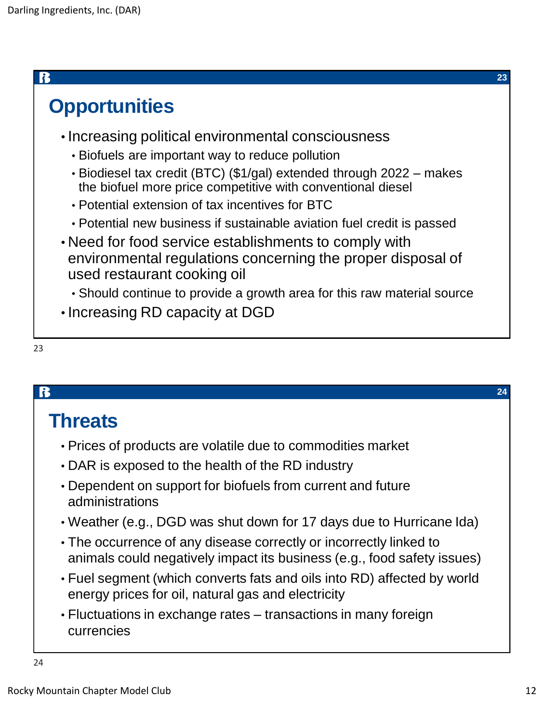|                                                                                                                                     | 23 |
|-------------------------------------------------------------------------------------------------------------------------------------|----|
| <b>Opportunities</b>                                                                                                                |    |
| • Increasing political environmental consciousness                                                                                  |    |
| • Biofuels are important way to reduce pollution                                                                                    |    |
| • Biodiesel tax credit (BTC) (\$1/gal) extended through 2022 – makes<br>the biofuel more price competitive with conventional diesel |    |
| • Potential extension of tax incentives for BTC                                                                                     |    |
| • Potential new business if sustainable aviation fuel credit is passed                                                              |    |
| • Need for food service establishments to comply with                                                                               |    |
| environmental regulations concerning the proper disposal of<br>used restaurant cooking oil                                          |    |
| • Should continue to provide a growth area for this raw material source                                                             |    |
| • Increasing RD capacity at DGD                                                                                                     |    |
|                                                                                                                                     |    |

| ۰.<br>۰.<br>. . | v<br>. .<br>I<br>I<br>۰. |
|-----------------|--------------------------|
|                 |                          |

|                                                                                                                                               | 24 |
|-----------------------------------------------------------------------------------------------------------------------------------------------|----|
| <b>Threats</b>                                                                                                                                |    |
| • Prices of products are volatile due to commodities market                                                                                   |    |
| • DAR is exposed to the health of the RD industry                                                                                             |    |
| • Dependent on support for biofuels from current and future<br>administrations                                                                |    |
| • Weather (e.g., DGD was shut down for 17 days due to Hurricane Ida)                                                                          |    |
| • The occurrence of any disease correctly or incorrectly linked to<br>animals could negatively impact its business (e.g., food safety issues) |    |
| • Fuel segment (which converts fats and oils into RD) affected by world<br>energy prices for oil, natural gas and electricity                 |    |
| • Fluctuations in exchange rates – transactions in many foreign<br>currencies                                                                 |    |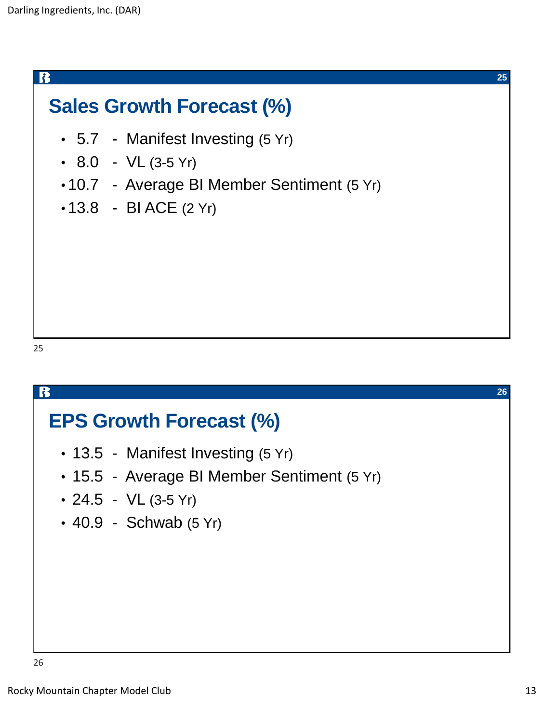ß

# **Sales Growth Forecast (%)**

- 5.7 Manifest Investing (5 Yr)
- $8.0 VL$  (3-5 Yr)
- 10.7 Average BI Member Sentiment (5 Yr)
- $\cdot$  13.8 BI ACE (2 Yr)

25

# B **26 EPS Growth Forecast (%)**  • 13.5 - Manifest Investing (5 Yr) • 15.5 - Average BI Member Sentiment (5 Yr)  $\cdot$  24.5 - VL (3-5 Yr)  $\cdot$  40.9 - Schwab (5 Yr)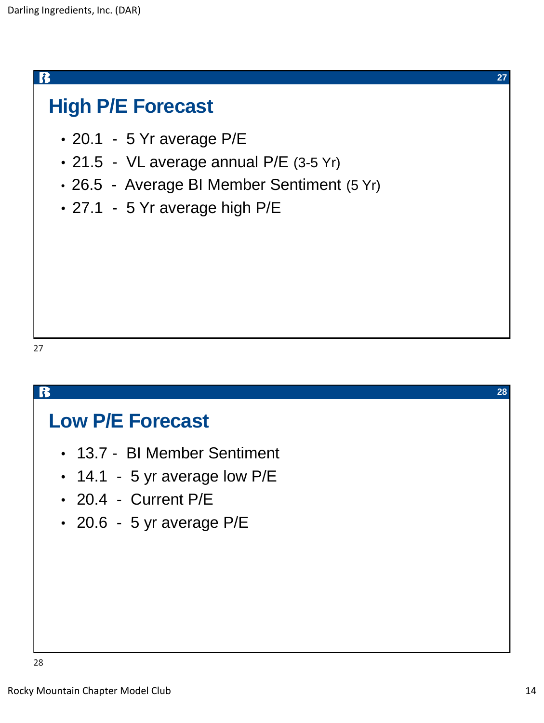